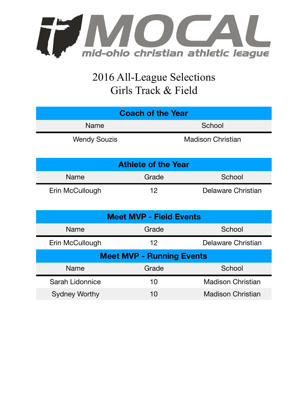

## 2016 All-League Selections Girls Track & Field

| <b>Coach of the Year</b>   |                          |  |  |  |
|----------------------------|--------------------------|--|--|--|
| <b>Name</b>                | School                   |  |  |  |
| <b>Wendy Souzis</b>        | <b>Madison Christian</b> |  |  |  |
| <b>Athlete of the Year</b> |                          |  |  |  |

| <b>AUTICLE OF THE TEAT</b> |       |                    |  |  |
|----------------------------|-------|--------------------|--|--|
| <b>Name</b>                | Grade | School             |  |  |
| Erin McCullough            | 1つ    | Delaware Christian |  |  |

| <b>Meet MVP - Field Events</b>   |         |                          |  |  |
|----------------------------------|---------|--------------------------|--|--|
| Name                             | Grade   | School                   |  |  |
| Erin McCullough                  | $12 \,$ | Delaware Christian       |  |  |
| <b>Meet MVP - Running Events</b> |         |                          |  |  |
| <b>Name</b>                      | Grade   | School                   |  |  |
| Sarah Lidonnice                  | 10      | <b>Madison Christian</b> |  |  |
| <b>Sydney Worthy</b>             | 10      | <b>Madison Christian</b> |  |  |